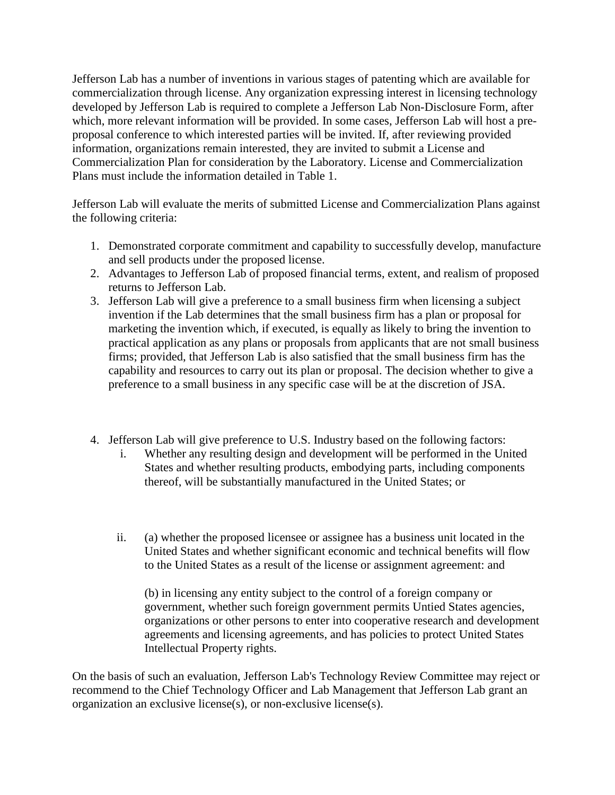Jefferson Lab has a number of inventions in various stages of patenting which are available for commercialization through license. Any organization expressing interest in licensing technology developed by Jefferson Lab is required to complete a Jefferson Lab Non-Disclosure Form, after which, more relevant information will be provided. In some cases, Jefferson Lab will host a preproposal conference to which interested parties will be invited. If, after reviewing provided information, organizations remain interested, they are invited to submit a License and Commercialization Plan for consideration by the Laboratory. License and Commercialization Plans must include the information detailed in Table 1.

Jefferson Lab will evaluate the merits of submitted License and Commercialization Plans against the following criteria:

- 1. Demonstrated corporate commitment and capability to successfully develop, manufacture and sell products under the proposed license.
- 2. Advantages to Jefferson Lab of proposed financial terms, extent, and realism of proposed returns to Jefferson Lab.
- 3. Jefferson Lab will give a preference to a small business firm when licensing a subject invention if the Lab determines that the small business firm has a plan or proposal for marketing the invention which, if executed, is equally as likely to bring the invention to practical application as any plans or proposals from applicants that are not small business firms; provided, that Jefferson Lab is also satisfied that the small business firm has the capability and resources to carry out its plan or proposal. The decision whether to give a preference to a small business in any specific case will be at the discretion of JSA.
- 4. Jefferson Lab will give preference to U.S. Industry based on the following factors:
	- i. Whether any resulting design and development will be performed in the United States and whether resulting products, embodying parts, including components thereof, will be substantially manufactured in the United States; or
	- ii. (a) whether the proposed licensee or assignee has a business unit located in the United States and whether significant economic and technical benefits will flow to the United States as a result of the license or assignment agreement: and

(b) in licensing any entity subject to the control of a foreign company or government, whether such foreign government permits Untied States agencies, organizations or other persons to enter into cooperative research and development agreements and licensing agreements, and has policies to protect United States Intellectual Property rights.

On the basis of such an evaluation, Jefferson Lab's Technology Review Committee may reject or recommend to the Chief Technology Officer and Lab Management that Jefferson Lab grant an organization an exclusive license(s), or non-exclusive license(s).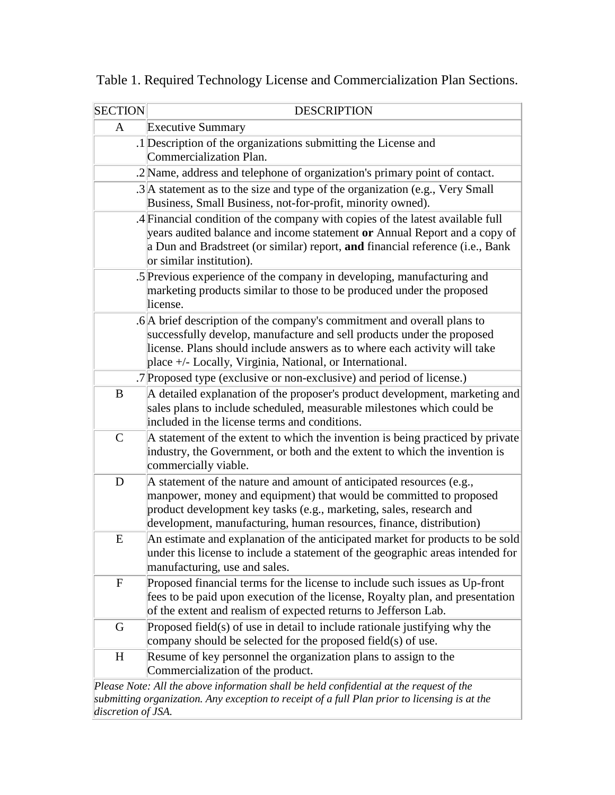| <b>SECTION</b> | <b>DESCRIPTION</b>                                                                                                                                                                                                                                                                         |
|----------------|--------------------------------------------------------------------------------------------------------------------------------------------------------------------------------------------------------------------------------------------------------------------------------------------|
| $\mathbf{A}$   | <b>Executive Summary</b>                                                                                                                                                                                                                                                                   |
|                | .1 Description of the organizations submitting the License and<br>Commercialization Plan.                                                                                                                                                                                                  |
|                | .2 Name, address and telephone of organization's primary point of contact.                                                                                                                                                                                                                 |
|                | .3 A statement as to the size and type of the organization (e.g., Very Small<br>Business, Small Business, not-for-profit, minority owned).                                                                                                                                                 |
|                | .4 Financial condition of the company with copies of the latest available full<br>years audited balance and income statement or Annual Report and a copy of<br>a Dun and Bradstreet (or similar) report, and financial reference (i.e., Bank<br>or similar institution).                   |
|                | .5 Previous experience of the company in developing, manufacturing and<br>marketing products similar to those to be produced under the proposed<br>license.                                                                                                                                |
|                | .6 A brief description of the company's commitment and overall plans to<br>successfully develop, manufacture and sell products under the proposed<br>license. Plans should include answers as to where each activity will take<br>place +/- Locally, Virginia, National, or International. |
|                | .7 Proposed type (exclusive or non-exclusive) and period of license.)                                                                                                                                                                                                                      |
| B              | A detailed explanation of the proposer's product development, marketing and<br>sales plans to include scheduled, measurable milestones which could be<br>included in the license terms and conditions.                                                                                     |
| $\mathsf{C}$   | A statement of the extent to which the invention is being practiced by private<br>industry, the Government, or both and the extent to which the invention is<br>commercially viable.                                                                                                       |
| D              | A statement of the nature and amount of anticipated resources (e.g.,<br>manpower, money and equipment) that would be committed to proposed<br>product development key tasks (e.g., marketing, sales, research and<br>development, manufacturing, human resources, finance, distribution)   |
| E              | An estimate and explanation of the anticipated market for products to be sold<br>under this license to include a statement of the geographic areas intended for<br>manufacturing, use and sales.                                                                                           |
| $\mathbf F$    | Proposed financial terms for the license to include such issues as Up-front<br>fees to be paid upon execution of the license, Royalty plan, and presentation<br>of the extent and realism of expected returns to Jefferson Lab.                                                            |
| G              | Proposed field(s) of use in detail to include rationale justifying why the<br>company should be selected for the proposed field(s) of use.                                                                                                                                                 |
| H              | Resume of key personnel the organization plans to assign to the<br>Commercialization of the product.                                                                                                                                                                                       |
|                | Please Note: All the above information shall be held confidential at the request of the                                                                                                                                                                                                    |

Table 1. Required Technology License and Commercialization Plan Sections.

*Please Note: All the above information shall be held confidential at the request of the submitting organization. Any exception to receipt of a full Plan prior to licensing is at the discretion of JSA.*